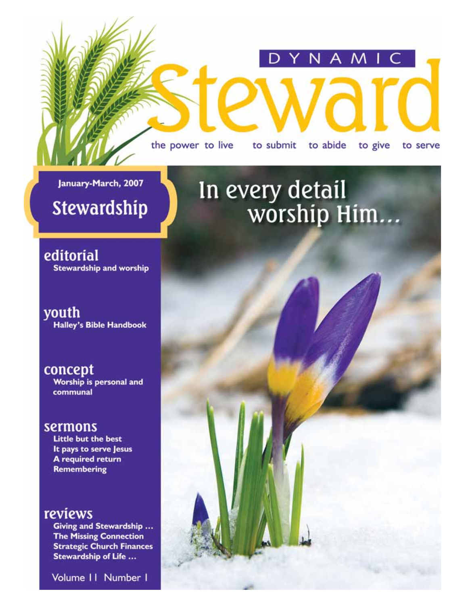the power to live to submit to abide to give to serve

D

NAMIC

January-March, 2007

### **Stewardship**

editorial **Stewardship and worship** 

youth **Halley's Bible Handbook** 

concept Worship is personal and communal

#### sermons

Little but the best It pays to serve Jesus A required return **Remembering** 

#### reviews

Giving and Stewardship ... **The Missing Connection Strategic Church Finances** Stewardship of Life ...

Volume II Number I

### In every detail worship Him...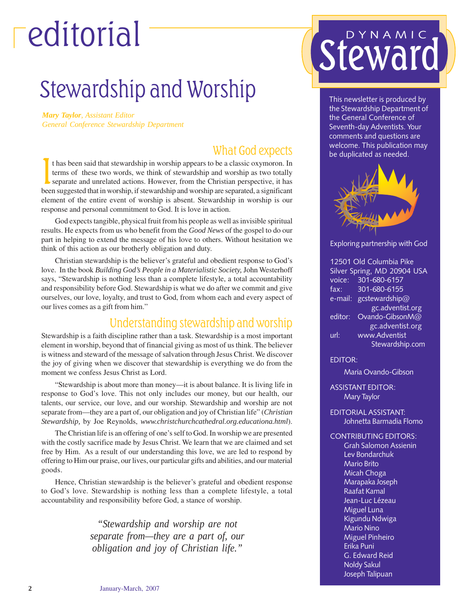# editorial

### Stewardship and Worship

*Mary Taylor, Assistant Editor General Conference Stewardship Department*

#### What God expects

It has been said that stewardship in worship appears to be a classic oxymoron. In terms of these two words, we think of stewardship and worship as two totally separate and unrelated actions. However, from the Christian per t has been said that stewardship in worship appears to be a classic oxymoron. In terms of these two words, we think of stewardship and worship as two totally separate and unrelated actions. However, from the Christian perspective, it has element of the entire event of worship is absent. Stewardship in worship is our response and personal commitment to God. It is love in action.

God expects tangible, physical fruit from his people as well as invisible spiritual results. He expects from us who benefit from the *Good News* of the gospel to do our part in helping to extend the message of his love to others. Without hesitation we think of this action as our brotherly obligation and duty.

Christian stewardship is the believer's grateful and obedient response to God's love. In the book *Building God's People in a Materialistic Society,* John Westerhoff says, "Stewardship is nothing less than a complete lifestyle, a total accountability and responsibility before God. Stewardship is what we do after we commit and give ourselves, our love, loyalty, and trust to God, from whom each and every aspect of our lives comes as a gift from him."

#### Understanding stewardship and worship

Stewardship is a faith discipline rather than a task. Stewardship is a most important element in worship, beyond that of financial giving as most of us think. The believer is witness and steward of the message of salvation through Jesus Christ. We discover the joy of giving when we discover that stewardship is everything we do from the moment we confess Jesus Christ as Lord.

"Stewardship is about more than money—it is about balance. It is living life in response to God's love. This not only includes our money, but our health, our talents, our service, our love, and our worship. Stewardship and worship are not separate from—they are a part of, our obligation and joy of Christian life" (*Christian Stewardship,* by Joe Reynolds, *www.christchurchcathedral.org.educationa.html*).

The Christian life is an offering of one's self to God. In worship we are presented with the costly sacrifice made by Jesus Christ. We learn that we are claimed and set free by Him. As a result of our understanding this love, we are led to respond by offering to Him our praise, our lives, our particular gifts and abilities, and our material goods.

Hence, Christian stewardship is the believer's grateful and obedient response to God's love. Stewardship is nothing less than a complete lifestyle, a total accountability and responsibility before God, a stance of worship.

> *"Stewardship and worship are not separate from—they are a part of, our obligation and joy of Christian life."*

# DYNAMIC

This newsletter is produced by the Stewardship Department of the General Conference of Seventh-day Adventists. Your comments and questions are welcome. This publication may be duplicated as needed.



Exploring partnership with God

| 12501 Old Columbia Pike     |                  |
|-----------------------------|------------------|
| Silver Spring, MD 20904 USA |                  |
| voice:                      | 301-680-6157     |
| fax:                        | 301-680-6155     |
| e-mail:                     | gcstewardship@   |
|                             | gc.adventist.org |
| editor:                     | Ovando-GibsonM@  |
|                             | gc.adventist.org |
| $\overline{\mathsf{url}}$ : | www.Adventist    |
|                             | Stewardship.com  |

EDITOR:

Maria Ovando-Gibson

ASSISTANT EDITOR: Mary Taylor

- EDITORIAL ASSISTANT: Johnetta Barmadia Flomo
- CONTRIBUTING EDITORS:

Grah Salomon Assienin Lev Bondarchuk Mario Brito Micah Choga Marapaka Joseph Raafat Kamal Jean-Luc Lézeau Miguel Luna Kigundu Ndwiga Mario Nino Miguel Pinheiro Erika Puni G. Edward Reid Noldy Sakul Joseph Talipuan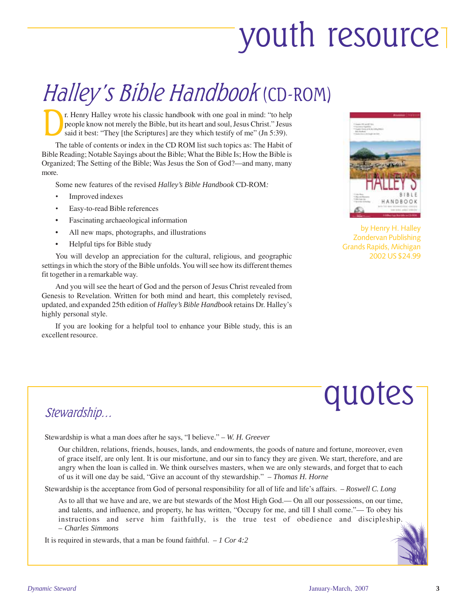# youth resource

### Halley's Bible Handbook (CD-ROM)

The Bibley wrote his classic handbook with one goal in mind: "to help<br>people know not merely the Bible, but its heart and soul, Jesus Christ." Jesus<br>said it best: "They [the Scriptures] are they which testify of me" (Jn 5: people know not merely the Bible, but its heart and soul, Jesus Christ." Jesus said it best: "They [the Scriptures] are they which testify of me" (Jn 5:39).

The table of contents or index in the CD ROM list such topics as: The Habit of Bible Reading; Notable Sayings about the Bible; What the Bible Is; How the Bible is Organized; The Setting of the Bible; Was Jesus the Son of God?—and many, many more.

Some new features of the revised *Halley's Bible Handbook* CD-ROM*:*

- *•* Improved indexes
- *•* Easy-to-read Bible references
- Fascinating archaeological information
- All new maps, photographs, and illustrations
- Helpful tips for Bible study

You will develop an appreciation for the cultural, religious, and geographic settings in which the story of the Bible unfolds. You will see how its different themes fit together in a remarkable way.

And you will see the heart of God and the person of Jesus Christ revealed from Genesis to Revelation. Written for both mind and heart, this completely revised, updated, and expanded 25th edition of *Halley's Bible Handbook* retains Dr. Halley's highly personal style.

If you are looking for a helpful tool to enhance your Bible study, this is an excellent resource.



by Henry H. Halley Zondervan Publishing Grands Rapids, Michigan 2002 US \$24.99



#### Stewardship…

Stewardship is what a man does after he says, "I believe." – *W. H. Greever*

Our children, relations, friends, houses, lands, and endowments, the goods of nature and fortune, moreover, even of grace itself, are only lent. It is our misfortune, and our sin to fancy they are given. We start, therefore, and are angry when the loan is called in. We think ourselves masters, when we are only stewards, and forget that to each of us it will one day be said, "Give an account of thy stewardship." – *Thomas H. Horne*

Stewardship is the acceptance from God of personal responsibility for all of life and life's affairs. – *Roswell C. Long*

As to all that we have and are, we are but stewards of the Most High God.— On all our possessions, on our time, and talents, and influence, and property, he has written, "Occupy for me, and till I shall come."— To obey his instructions and serve him faithfully, is the true test of obedience and discipleship. – *Charles Simmons*

It is required in stewards, that a man be found faithful. – *1 Cor 4:2*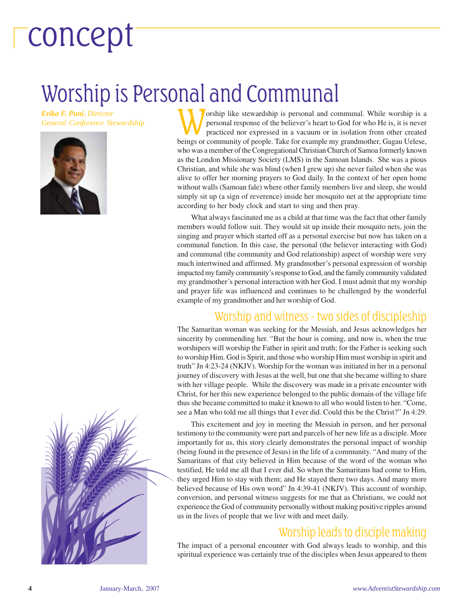# concept

### Worship is Personal and Communal

*Erika F. Puni, Director*





*General Conference Stewardship* Worship like stewardship is personal and communal. While worship is a *General Conference Stewardship* **Weilling the personal response of the believer's heart to God for who He is, it is ne** personal response of the believer's heart to God for who He is, it is never practiced nor expressed in a vacuum or in isolation from other created beings or community of people. Take for example my grandmother, Gagau Uelese, who was a member of the Congregational Christian Church of Samoa formerly known as the London Missionary Society (LMS) in the Samoan Islands. She was a pious Christian, and while she was blind (when I grew up) she never failed when she was alive to offer her morning prayers to God daily. In the context of her open home without walls (Samoan fale) where other family members live and sleep, she would simply sit up (a sign of reverence) inside her mosquito net at the appropriate time according to her body clock and start to sing and then pray.

> What always fascinated me as a child at that time was the fact that other family members would follow suit. They would sit up inside their mosquito nets, join the singing and prayer which started off as a personal exercise but now has taken on a communal function. In this case, the personal (the believer interacting with God) and communal (the community and God relationship) aspect of worship were very much intertwined and affirmed. My grandmother's personal expression of worship impacted my family community's response to God, and the family community validated my grandmother's personal interaction with her God. I must admit that my worship and prayer life was influenced and continues to be challenged by the wonderful example of my grandmother and her worship of God.

#### Worship and witness - two sides of discipleship

The Samaritan woman was seeking for the Messiah, and Jesus acknowledges her sincerity by commending her. "But the hour is coming, and now is, when the true worshipers will worship the Father in spirit and truth; for the Father is seeking such to worship Him. God is Spirit, and those who worship Him must worship in spirit and truth" Jn 4:23-24 (NKJV). Worship for the woman was initiated in her in a personal journey of discovery with Jesus at the well, but one that she became willing to share with her village people. While the discovery was made in a private encounter with Christ, for her this new experience belonged to the public domain of the village life thus she became committed to make it known to all who would listen to her. "Come, see a Man who told me all things that I ever did. Could this be the Christ?" Jn 4:29.

This excitement and joy in meeting the Messiah in person, and her personal testimony to the community were part and parcels of her new life as a disciple. More importantly for us, this story clearly demonstrates the personal impact of worship (being found in the presence of Jesus) in the life of a community. "And many of the Samaritans of that city believed in Him because of the word of the woman who testified, He told me all that I ever did. So when the Samaritans had come to Him, they urged Him to stay with them; and He stayed there two days. And many more believed because of His own word" Jn 4:39-41 (NKJV). This account of worship, conversion, and personal witness suggests for me that as Christians, we could not experience the God of community personally without making positive ripples around us in the lives of people that we live with and meet daily.

#### Worship leads to disciple making

The impact of a personal encounter with God always leads to worship, and this spiritual experience was certainly true of the disciples when Jesus appeared to them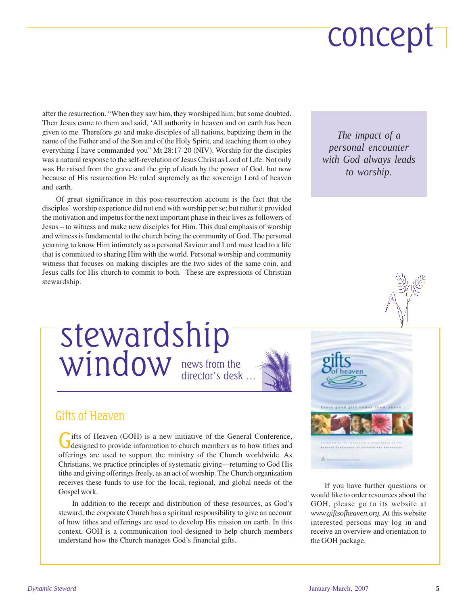# concept

after the resurrection. "When they saw him, they worshiped him; but some doubted. Then Jesus came to them and said, 'All authority in heaven and on earth has been given to me. Therefore go and make disciples of all nations, baptizing them in the name of the Father and of the Son and of the Holy Spirit, and teaching them to obey everything I have commanded you" Mt 28:17-20 (NIV). Worship for the disciples was a natural response to the self-revelation of Jesus Christ as Lord of Life. Not only was He raised from the grave and the grip of death by the power of God, but now because of His resurrection He ruled supremely as the sovereign Lord of heaven and earth.

Of great significance in this post-resurrection account is the fact that the disciples' worship experience did not end with worship per se; but rather it provided the motivation and impetus for the next important phase in their lives as followers of Jesus – to witness and make new disciples for Him. This dual emphasis of worship and witness is fundamental to the church being the community of God. The personal yearning to know Him intimately as a personal Saviour and Lord must lead to a life that is committed to sharing Him with the world. Personal worship and community witness that focuses on making disciples are the two sides of the same coin, and Jesus calls for His church to commit to both. These are expressions of Christian stewardship.

*The impact of a personal encounter with God always leads to worship.*



#### news from the director's desk … stewardship window



#### Gifts of Heaven

Gifts of Heaven (GOH) is a new initiative of the General Conference,<br>designed to provide information to church members as to how tithes and offerings are used to support the ministry of the Church worldwide. As Christians, we practice principles of systematic giving—returning to God His tithe and giving offerings freely, as an act of worship. The Church organization receives these funds to use for the local, regional, and global needs of the Gospel work.

In addition to the receipt and distribution of these resources, as God's steward, the corporate Church has a spiritual responsibility to give an account of how tithes and offerings are used to develop His mission on earth. In this context, GOH is a communication tool designed to help church members understand how the Church manages God's financial gifts.



If you have further questions or would like to order resources about the GOH, please go to its website at *www.giftsofheaven.org.* At this website interested persons may log in and receive an overview and orientation to the GOH package.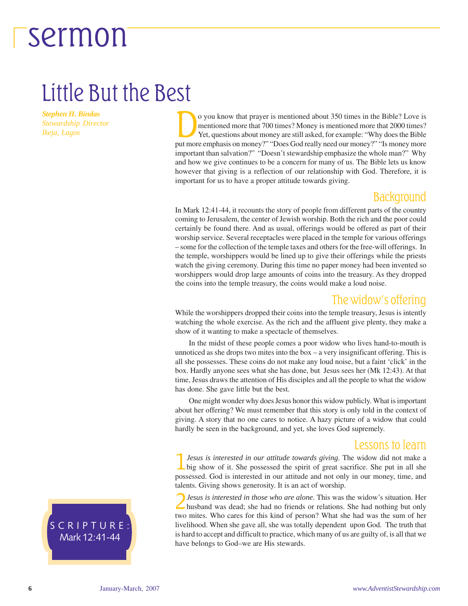### Little But the Best

*Stephen H. Bindas Stewardship Director Ikeja, Lagos*

o you know that prayer is mentioned about 350 times in the Bible? Love is<br>mentioned more that 700 times? Money is mentioned more that 2000 times?<br>Yet, questions about money are still asked, for example: "Why does the Bible mentioned more that 700 times? Money is mentioned more that 2000 times? Yet, questions about money are still asked, for example: "Why does the Bible put more emphasis on money?" "Does God really need our money?" "Is money more important than salvation?" "Doesn't stewardship emphasize the whole man?" Why and how we give continues to be a concern for many of us. The Bible lets us know however that giving is a reflection of our relationship with God. Therefore, it is important for us to have a proper attitude towards giving.

#### Background

In Mark 12:41-44, it recounts the story of people from different parts of the country coming to Jerusalem, the center of Jewish worship. Both the rich and the poor could certainly be found there. And as usual, offerings would be offered as part of their worship service. Several receptacles were placed in the temple for various offerings – some for the collection of the temple taxes and others for the free-will offerings. In the temple, worshippers would be lined up to give their offerings while the priests watch the giving ceremony. During this time no paper money had been invented so worshippers would drop large amounts of coins into the treasury. As they dropped the coins into the temple treasury, the coins would make a loud noise.

#### The widow's offering

While the worshippers dropped their coins into the temple treasury, Jesus is intently watching the whole exercise. As the rich and the affluent give plenty, they make a show of it wanting to make a spectacle of themselves.

In the midst of these people comes a poor widow who lives hand-to-mouth is unnoticed as she drops two mites into the box  $-$  a very insignificant offering. This is all she possesses. These coins do not make any loud noise, but a faint 'click' in the box. Hardly anyone sees what she has done, but Jesus sees her (Mk 12:43). At that time, Jesus draws the attention of His disciples and all the people to what the widow has done. She gave little but the best.

about her offering? We must remember that this story is only told in the context of giving. A story that no one cares to notice. A hazy picture of a widow that could One might wonder why does Jesus honor this widow publicly. What is important hardly be seen in the background, and yet, she loves God supremely.

#### Lessons to learn

1*Jesus is interested in our attitude towards giving*. The widow did not make a big show of it. She possessed the spirit of great sacrifice. She put in all she possessed. God is interested in our attitude and not only in our money, time, and talents. Giving shows generosity. It is an act of worship.

2*Jesus is interested in those who are alone*. This was the widow's situation. Her husband was dead; she had no friends or relations. She had nothing but only two mites. Who cares for this kind of person? What she had was the sum of her livelihood. When she gave all, she was totally dependent upon God. The truth that is hard to accept and difficult to practice, which many of us are guilty of, is all that we have belongs to God–we are His stewards.

SCRIPTURE: Mark 12:41-44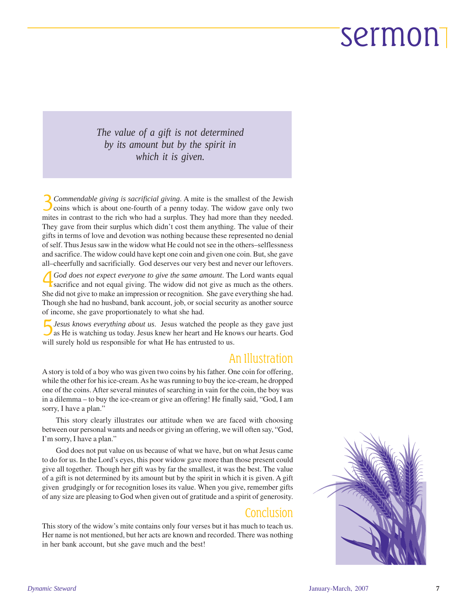*The value of a gift is not determined by its amount but by the spirit in which it is given.*

3*Commendable giving is sacrificial giving*. A mite is the smallest of the Jewish  $\overline{\mathcal{L}}$  coins which is about one-fourth of a penny today. The widow gave only two mites in contrast to the rich who had a surplus. They had more than they needed. They gave from their surplus which didn't cost them anything. The value of their gifts in terms of love and devotion was nothing because these represented no denial of self. Thus Jesus saw in the widow what He could not see in the others–selflessness and sacrifice. The widow could have kept one coin and given one coin. But, she gave all–cheerfully and sacrificially. God deserves our very best and never our leftovers.

4*God does not expect everyone to give the same amount*. The Lord wants equal **K** sacrifice and not equal giving. The widow did not give as much as the others. She did not give to make an impression or recognition. She gave everything she had. Though she had no husband, bank account, job, or social security as another source of income, she gave proportionately to what she had.

5*Jesus knows everything about us*. Jesus watched the people as they gave just as He is watching us today. Jesus knew her heart and He knows our hearts. God will surely hold us responsible for what He has entrusted to us.

#### An Illustration

A story is told of a boy who was given two coins by his father. One coin for offering, while the other for his ice-cream. As he was running to buy the ice-cream, he dropped one of the coins. After several minutes of searching in vain for the coin, the boy was in a dilemma – to buy the ice-cream or give an offering! He finally said, "God, I am sorry, I have a plan."

This story clearly illustrates our attitude when we are faced with choosing between our personal wants and needs or giving an offering, we will often say, "God, I'm sorry, I have a plan."

God does not put value on us because of what we have, but on what Jesus came to do for us. In the Lord's eyes, this poor widow gave more than those present could give all together. Though her gift was by far the smallest, it was the best. The value of a gift is not determined by its amount but by the spirit in which it is given. A gift given grudgingly or for recognition loses its value. When you give, remember gifts of any size are pleasing to God when given out of gratitude and a spirit of generosity.

#### Conclusion

This story of the widow's mite contains only four verses but it has much to teach us. Her name is not mentioned, but her acts are known and recorded. There was nothing in her bank account, but she gave much and the best!

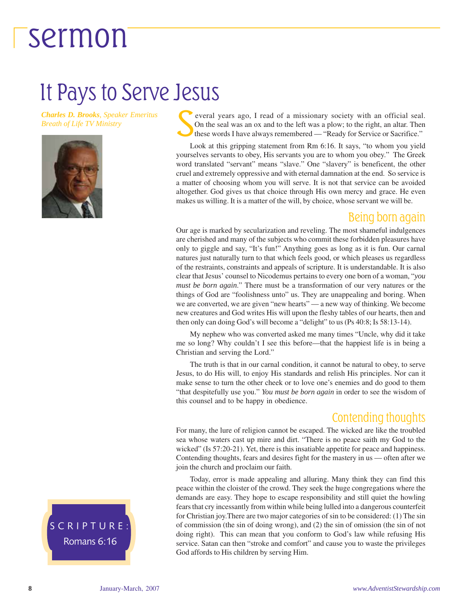### It Pays to Serve Jesus

*Charles D. Brooks, Speaker Emeritus Breath of Life TV Ministry*



Several years ago, I read of a missionary society with an official seal.<br>On the seal was an ox and to the left was a plow; to the right, an altar. Then<br>these words I have always remembered — "Ready for Service or Sacrifice On the seal was an ox and to the left was a plow; to the right, an altar. Then these words I have always remembered — "Ready for Service or Sacrifice."

Look at this gripping statement from Rm 6:16. It says, "to whom you yield yourselves servants to obey, His servants you are to whom you obey." The Greek word translated "servant" means "slave." One "slavery" is beneficent, the other cruel and extremely oppressive and with eternal damnation at the end. So service is a matter of choosing whom you will serve. It is not that service can be avoided altogether. God gives us that choice through His own mercy and grace. He even makes us willing. It is a matter of the will, by choice, whose servant we will be.

#### Being born again

Our age is marked by secularization and reveling. The most shameful indulgences are cherished and many of the subjects who commit these forbidden pleasures have only to giggle and say, "It's fun!" Anything goes as long as it is fun. Our carnal natures just naturally turn to that which feels good, or which pleases us regardless of the restraints, constraints and appeals of scripture. It is understandable. It is also clear that Jesus' counsel to Nicodemus pertains to every one born of a woman, "*you must be born again*." There must be a transformation of our very natures or the things of God are "foolishness unto" us. They are unappealing and boring. When we are converted, we are given "new hearts" — a new way of thinking. We become new creatures and God writes His will upon the fleshy tables of our hearts, then and then only can doing God's will become a "delight" to us (Ps 40:8; Is 58:13-14).

My nephew who was converted asked me many times "Uncle, why did it take me so long? Why couldn't I see this before—that the happiest life is in being a Christian and serving the Lord."

The truth is that in our carnal condition, it cannot be natural to obey, to serve Jesus, to do His will, to enjoy His standards and relish His principles. Nor can it make sense to turn the other cheek or to love one's enemies and do good to them "that despitefully use you." *You must be born again* in order to see the wisdom of this counsel and to be happy in obedience.

#### Contending thoughts

For many, the lure of religion cannot be escaped. The wicked are like the troubled sea whose waters cast up mire and dirt. "There is no peace saith my God to the wicked" (Is 57:20-21). Yet, there is this insatiable appetite for peace and happiness. Contending thoughts, fears and desires fight for the mastery in us — often after we join the church and proclaim our faith.

Today, error is made appealing and alluring. Many think they can find this peace within the cloister of the crowd. They seek the huge congregations where the demands are easy. They hope to escape responsibility and still quiet the howling fears that cry incessantly from within while being lulled into a dangerous counterfeit for Christian joy.There are two major categories of sin to be considered: (1) The sin of commission (the sin of doing wrong), and (2) the sin of omission (the sin of not doing right). This can mean that you conform to God's law while refusing His service. Satan can then "stroke and comfort" and cause you to waste the privileges God affords to His children by serving Him.

SCRIPTURE: Romans 6:16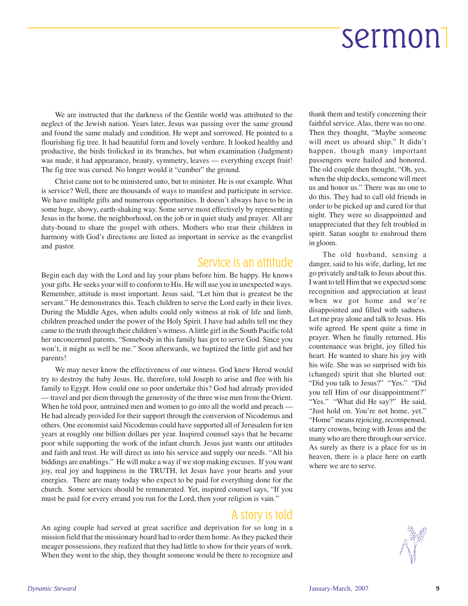We are instructed that the darkness of the Gentile world was attributed to the neglect of the Jewish nation. Years later, Jesus was passing over the same ground and found the same malady and condition. He wept and sorrowed. He pointed to a flourishing fig tree. It had beautiful form and lovely verdure. It looked healthy and productive, the birds frolicked in its branches, but when examination (Judgment) was made, it had appearance, beauty, symmetry, leaves — everything except fruit! The fig tree was cursed. No longer would it "cumber" the ground.

Christ came not to be ministered unto, but to minister. He is our example. What is service? Well, there are thousands of ways to manifest and participate in service. We have multiple gifts and numerous opportunities. It doesn't always have to be in some huge, showy, earth-shaking way. Some serve most effectively by representing Jesus in the home, the neighborhood, on the job or in quiet study and prayer. All are duty-bound to share the gospel with others. Mothers who rear their children in harmony with God's directions are listed as important in service as the evangelist and pastor.

#### Service is an attitude

Begin each day with the Lord and lay your plans before him. Be happy. He knows your gifts. He seeks your will to conform to His. He will use you in unexpected ways. Remember, attitude is most important. Jesus said, "Let him that is greatest be the servant." He demonstrates this. Teach children to serve the Lord early in their lives. During the Middle Ages, when adults could only witness at risk of life and limb, children preached under the power of the Holy Spirit. I have had adults tell me they came to the truth through their children's witness. A little girl in the South Pacific told her unconcerned parents, "Somebody in this family has got to serve God. Since you won't, it might as well be me." Soon afterwards, we baptized the little girl and her parents!

We may never know the effectiveness of our witness. God knew Herod would try to destroy the baby Jesus. He, therefore, told Joseph to arise and flee with his family to Egypt. How could one so poor undertake this? God had already provided — travel and per diem through the generosity of the three wise men from the Orient. When he told poor, untrained men and women to go into all the world and preach — He had already provided for their support through the conversion of Nicodemus and others. One economist said Nicodemus could have supported all of Jerusalem for ten years at roughly one billion dollars per year. Inspired counsel says that he became poor while supporting the work of the infant church. Jesus just wants our attitudes and faith and trust. He will direct us into his service and supply our needs. "All his biddings are enablings." He will make a way if we stop making excuses. If you want joy, real joy and happiness in the TRUTH, let Jesus have your hearts and your energies. There are many today who expect to be paid for everything done for the church. Some services should be remunerated. Yet, inspired counsel says, "If you must be paid for every errand you run for the Lord, then your religion is vain."

#### A story is told

An aging couple had served at great sacrifice and deprivation for so long in a mission field that the missionary board had to order them home. As they packed their meager possessions, they realized that they had little to show for their years of work. When they went to the ship, they thought someone would be there to recognize and

thank them and testify concerning their faithful service. Alas, there was no one. Then they thought, "Maybe someone will meet us aboard ship." It didn't happen, though many important passengers were hailed and honored. The old couple then thought, "Oh, yes, when the ship docks, someone will meet us and honor us." There was no one to do this. They had to call old friends in order to be picked up and cared for that night. They were so disappointed and unappreciated that they felt troubled in spirit. Satan sought to enshroud them in gloom.

The old husband, sensing a danger, said to his wife, darling, let me go privately and talk to Jesus about this. I want to tell Him that we expected some recognition and appreciation at least when we got home and we're disappointed and filled with sadness. Let me pray alone and talk to Jesus. His wife agreed. He spent quite a time in prayer. When he finally returned, His countenance was bright, joy filled his heart. He wanted to share his joy with his wife. She was so surprised with his (changed) spirit that she blurted out: "Did you talk to Jesus?" "Yes." "Did you tell Him of our disappointment?" "Yes." "What did He say?" He said, "Just hold on. You're not home, yet." "Home" means rejoicing, recompensed, starry crowns, being with Jesus and the many who are there through our service. As surely as there is a place for us in heaven, there is a place here on earth where we are to serve.

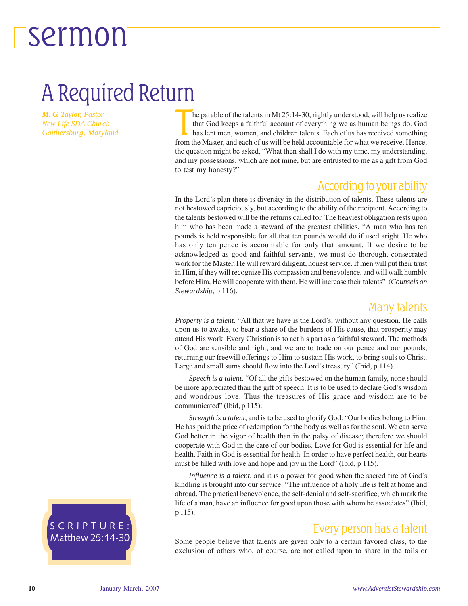### A Required Return

*M. G. Taylor, Pastor New Life SDA Church Gaithersburg, Maryland*

he parable of the talents in Mt 25:14-30, rightly understood, will help us realize that God keeps a faithful account of everything we as human beings do. God has lent men, women, and children talents. Each of us has receiv he parable of the talents in Mt 25:14-30, rightly understood, will help us realize that God keeps a faithful account of everything we as human beings do. God has lent men, women, and children talents. Each of us has received something the question might be asked, "What then shall I do with my time, my understanding, and my possessions, which are not mine, but are entrusted to me as a gift from God to test my honesty?"

#### According to your ability

In the Lord's plan there is diversity in the distribution of talents. These talents are not bestowed capriciously, but according to the ability of the recipient. According to the talents bestowed will be the returns called for. The heaviest obligation rests upon him who has been made a steward of the greatest abilities. "A man who has ten pounds is held responsible for all that ten pounds would do if used aright. He who has only ten pence is accountable for only that amount. If we desire to be acknowledged as good and faithful servants, we must do thorough, consecrated work for the Master. He will reward diligent, honest service. If men will put their trust in Him, if they will recognize His compassion and benevolence, and will walk humbly before Him, He will cooperate with them. He will increase their talents" (*Counsels on Stewardship*, p 116).

#### Many talents

*Property is a talent*. "All that we have is the Lord's, without any question. He calls upon us to awake, to bear a share of the burdens of His cause, that prosperity may attend His work. Every Christian is to act his part as a faithful steward. The methods of God are sensible and right, and we are to trade on our pence and our pounds, returning our freewill offerings to Him to sustain His work, to bring souls to Christ. Large and small sums should flow into the Lord's treasury" (Ibid, p 114).

*Speech is a talent*. "Of all the gifts bestowed on the human family, none should be more appreciated than the gift of speech. It is to be used to declare God's wisdom and wondrous love. Thus the treasures of His grace and wisdom are to be communicated" (Ibid, p 115).

*Strength is a talent*, and is to be used to glorify God. "Our bodies belong to Him. He has paid the price of redemption for the body as well as for the soul. We can serve God better in the vigor of health than in the palsy of disease; therefore we should cooperate with God in the care of our bodies. Love for God is essential for life and health. Faith in God is essential for health. In order to have perfect health, our hearts must be filled with love and hope and joy in the Lord" (Ibid, p 115).

*Influence is a talent*, and it is a power for good when the sacred fire of God's kindling is brought into our service. "The influence of a holy life is felt at home and abroad. The practical benevolence, the self-denial and self-sacrifice, which mark the life of a man, have an influence for good upon those with whom he associates" (Ibid, p 115).

#### Every person has a talent

Some people believe that talents are given only to a certain favored class, to the exclusion of others who, of course, are not called upon to share in the toils or

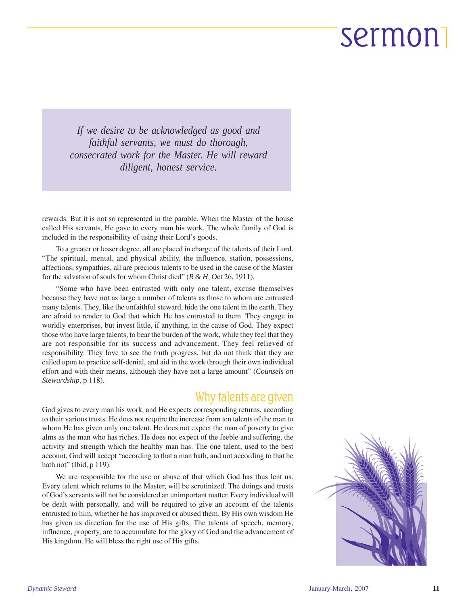*If we desire to be acknowledged as good and faithful servants, we must do thorough, consecrated work for the Master. He will reward diligent, honest service.*

rewards. But it is not so represented in the parable. When the Master of the house called His servants, He gave to every man his work. The whole family of God is included in the responsibility of using their Lord's goods.

To a greater or lesser degree, all are placed in charge of the talents of their Lord. "The spiritual, mental, and physical ability, the influence, station, possessions, affections, sympathies, all are precious talents to be used in the cause of the Master for the salvation of souls for whom Christ died" (*R & H*, Oct 26, 1911).

"Some who have been entrusted with only one talent, excuse themselves because they have not as large a number of talents as those to whom are entrusted many talents. They, like the unfaithful steward, hide the one talent in the earth. They are afraid to render to God that which He has entrusted to them. They engage in worldly enterprises, but invest little, if anything, in the cause of God. They expect those who have large talents, to bear the burden of the work, while they feel that they are not responsible for its success and advancement. They feel relieved of responsibility. They love to see the truth progress, but do not think that they are called upon to practice self-denial, and aid in the work through their own individual effort and with their means, although they have not a large amount" (*Counsels on Stewardship*, p 118).

#### Why talents are given

God gives to every man his work, and He expects corresponding returns, according to their various trusts. He does not require the increase from ten talents of the man to whom He has given only one talent. He does not expect the man of poverty to give alms as the man who has riches. He does not expect of the feeble and suffering, the activity and strength which the healthy man has. The one talent, used to the best account, God will accept "according to that a man hath, and not according to that he hath not" (Ibid, p 119).

We are responsible for the use or abuse of that which God has thus lent us. Every talent which returns to the Master, will be scrutinized. The doings and trusts of God's servants will not be considered an unimportant matter. Every individual will be dealt with personally, and will be required to give an account of the talents entrusted to him, whether he has improved or abused them. By His own wisdom He has given us direction for the use of His gifts. The talents of speech, memory, influence, property, are to accumulate for the glory of God and the advancement of His kingdom. He will bless the right use of His gifts.

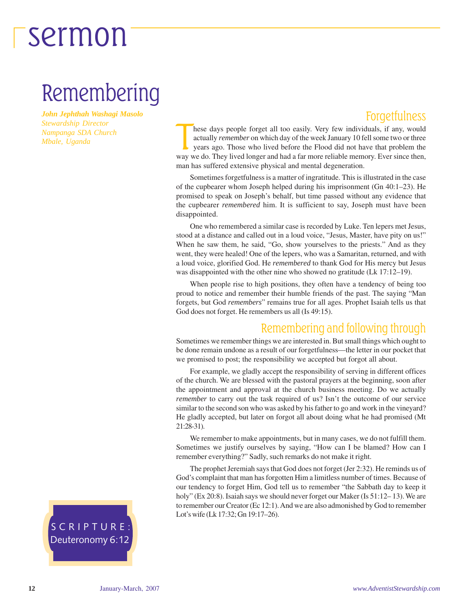### Remembering

*John Jephthah Washagi Masolo Stewardship Director Nampanga SDA Church Mbale, Uganda*

#### **Forgetfulness**

hese days people forget all too easily. Very few individuals, if any, would actually *remember* on which day of the week January 10 fell some two or three years ago. Those who lived before the Flood did not have that probl hese days people forget all too easily. Very few individuals, if any, would actually *remember* on which day of the week January 10 fell some two or three years ago. Those who lived before the Flood did not have that problem the man has suffered extensive physical and mental degeneration.

Sometimes forgetfulness is a matter of ingratitude. This is illustrated in the case of the cupbearer whom Joseph helped during his imprisonment (Gn 40:1–23). He promised to speak on Joseph's behalf, but time passed without any evidence that the cupbearer *remembered* him. It is sufficient to say, Joseph must have been disappointed.

One who remembered a similar case is recorded by Luke. Ten lepers met Jesus, stood at a distance and called out in a loud voice, "Jesus, Master, have pity on us!" When he saw them, he said, "Go, show yourselves to the priests." And as they went, they were healed! One of the lepers, who was a Samaritan, returned, and with a loud voice, glorified God. He *remembered* to thank God for His mercy but Jesus was disappointed with the other nine who showed no gratitude (Lk 17:12–19).

When people rise to high positions, they often have a tendency of being too proud to notice and remember their humble friends of the past. The saying "Man forgets, but God *remembers*" remains true for all ages. Prophet Isaiah tells us that God does not forget. He remembers us all (Is 49:15).

#### Remembering and following through

Sometimes we remember things we are interested in. But small things which ought to be done remain undone as a result of our forgetfulness—the letter in our pocket that we promised to post; the responsibility we accepted but forgot all about.

For example, we gladly accept the responsibility of serving in different offices of the church. We are blessed with the pastoral prayers at the beginning, soon after the appointment and approval at the church business meeting. Do we actually *remember* to carry out the task required of us? Isn't the outcome of our service similar to the second son who was asked by his father to go and work in the vineyard? He gladly accepted, but later on forgot all about doing what he had promised (Mt 21:28-31).

We remember to make appointments, but in many cases, we do not fulfill them. Sometimes we justify ourselves by saying, "How can I be blamed? How can I remember everything?" Sadly, such remarks do not make it right.

The prophet Jeremiah says that God does not forget (Jer 2:32). He reminds us of God's complaint that man has forgotten Him a limitless number of times. Because of our tendency to forget Him, God tell us to remember "the Sabbath day to keep it holy" (Ex 20:8). Isaiah says we should never forget our Maker (Is 51:12–13). We are to remember our Creator (Ec 12:1). And we are also admonished by God to remember Lot's wife (Lk 17:32; Gn 19:17–26).

SCRIPTURE: Deuteronomy 6:12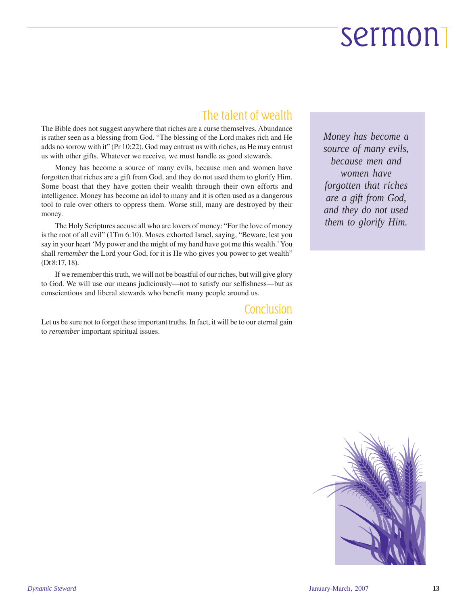#### The talent of wealth

The Bible does not suggest anywhere that riches are a curse themselves. Abundance is rather seen as a blessing from God. "The blessing of the Lord makes rich and He adds no sorrow with it" (Pr 10:22). God may entrust us with riches, as He may entrust us with other gifts. Whatever we receive, we must handle as good stewards.

Money has become a source of many evils, because men and women have forgotten that riches are a gift from God, and they do not used them to glorify Him. Some boast that they have gotten their wealth through their own efforts and intelligence. Money has become an idol to many and it is often used as a dangerous tool to rule over others to oppress them. Worse still, many are destroyed by their money.

The Holy Scriptures accuse all who are lovers of money: "For the love of money is the root of all evil" (1Tm 6:10). Moses exhorted Israel, saying, "Beware, lest you say in your heart 'My power and the might of my hand have got me this wealth.' You shall *remember* the Lord your God, for it is He who gives you power to get wealth" (Dt 8:17, 18).

If we remember this truth, we will not be boastful of our riches, but will give glory to God. We will use our means judiciously—not to satisfy our selfishness—but as conscientious and liberal stewards who benefit many people around us.

#### Conclusion

Let us be sure not to forget these important truths. In fact, it will be to our eternal gain to *remember* important spiritual issues.

*Money has become a source of many evils, because men and women have forgotten that riches are a gift from God, and they do not used them to glorify Him.*

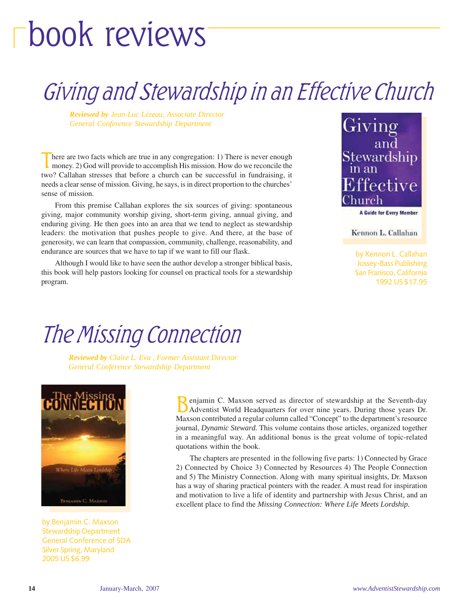# book reviews

### Giving and Stewardship in an Effective Church

*Reviewed by Jean-Luc Lézeau, Associate Director General Conference Stewardship Department*

There are two facts which are true in any congregation: 1) There is never enough money. 2) God will provide to accomplish His mission. How do we reconcile the two? Callahan stresses that before a church can be successful in fundraising, it needs a clear sense of mission. Giving, he says, is in direct proportion to the churches' sense of mission.

From this premise Callahan explores the six sources of giving: spontaneous giving, major community worship giving, short-term giving, annual giving, and enduring giving. He then goes into an area that we tend to neglect as stewardship leaders: the motivation that pushes people to give. And there, at the base of generosity, we can learn that compassion, community, challenge, reasonability, and endurance are sources that we have to tap if we want to fill our flask.

Although I would like to have seen the author develop a stronger biblical basis, this book will help pastors looking for counsel on practical tools for a stewardship program.



Kennon L. Callahan

by Kennon L. Callahan Jossey-Bass Publishing San Franisco, California 1992 US \$17.95

### The Missing Connection

*Reviewed by Claire L. Eva , Former Assistant Director General Conference Stewardship Department*



by Benjamin C. Maxson Stewardship Department General Conference of SDA Silver Spring, Maryland 2005 US \$6.99

enjamin C. Maxson served as director of stewardship at the Seventh-day Adventist World Headquarters for over nine years. During those years Dr. Maxson contributed a regular column called "Concept" to the department's resource journal, *Dynamic Steward.* This volume contains those articles, organized together in a meaningful way. An additional bonus is the great volume of topic-related quotations within the book.

The chapters are presented in the following five parts: 1) Connected by Grace 2) Connected by Choice 3) Connected by Resources 4) The People Connection and 5) The Ministry Connection. Along with many spiritual insights, Dr. Maxson has a way of sharing practical pointers with the reader. A must read for inspiration and motivation to live a life of identity and partnership with Jesus Christ, and an excellent place to find the *Missing Connection: Where Life Meets Lordship.*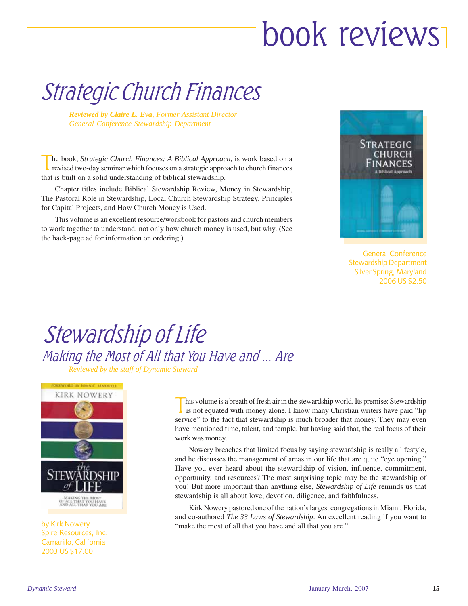# book reviews

### Strategic Church Finances

*Reviewed by Claire L. Eva, Former Assistant Director General Conference Stewardship Department*

The book, *Strategic Church Finances: A Biblical Approach*, is work based on a revised two-day seminar which focuses on a strategic approach to church finances that is built on a solid understanding of biblical stewardship.

Chapter titles include Biblical Stewardship Review, Money in Stewardship, The Pastoral Role in Stewardship, Local Church Stewardship Strategy, Principles for Capital Projects, and How Church Money is Used.

This volume is an excellent resource/workbook for pastors and church members to work together to understand, not only how church money is used, but why. (See the back-page ad for information on ordering.)



General Conference Stewardship Department Silver Spring, Maryland 2006 US \$2.50

#### Stewardship of Life Making the Most of All that You Have and ... Are *Reviewed by the staff of Dynamic Steward*



Spire Resources, Inc. Camarillo, California 2003 US \$17.00

This volume is a breath of fresh air in the stewardship world. Its premise: Stewardship<br>is not equated with money alone. I know many Christian writers have paid "lip service" to the fact that stewardship is much broader that money. They may even have mentioned time, talent, and temple, but having said that, the real focus of their work was money.

Nowery breaches that limited focus by saying stewardship is really a lifestyle, and he discusses the management of areas in our life that are quite "eye opening." Have you ever heard about the stewardship of vision, influence, commitment, opportunity, and resources? The most surprising topic may be the stewardship of you! But more important than anything else, *Stewardship of Life* reminds us that stewardship is all about love, devotion, diligence, and faithfulness.

Kirk Nowery pastored one of the nation's largest congregations in Miami, Florida, and co-authored *The 33 Laws of Stewardship*. An excellent reading if you want to by Kirk Nowery<br>"make the most of all that you have and all that you are."